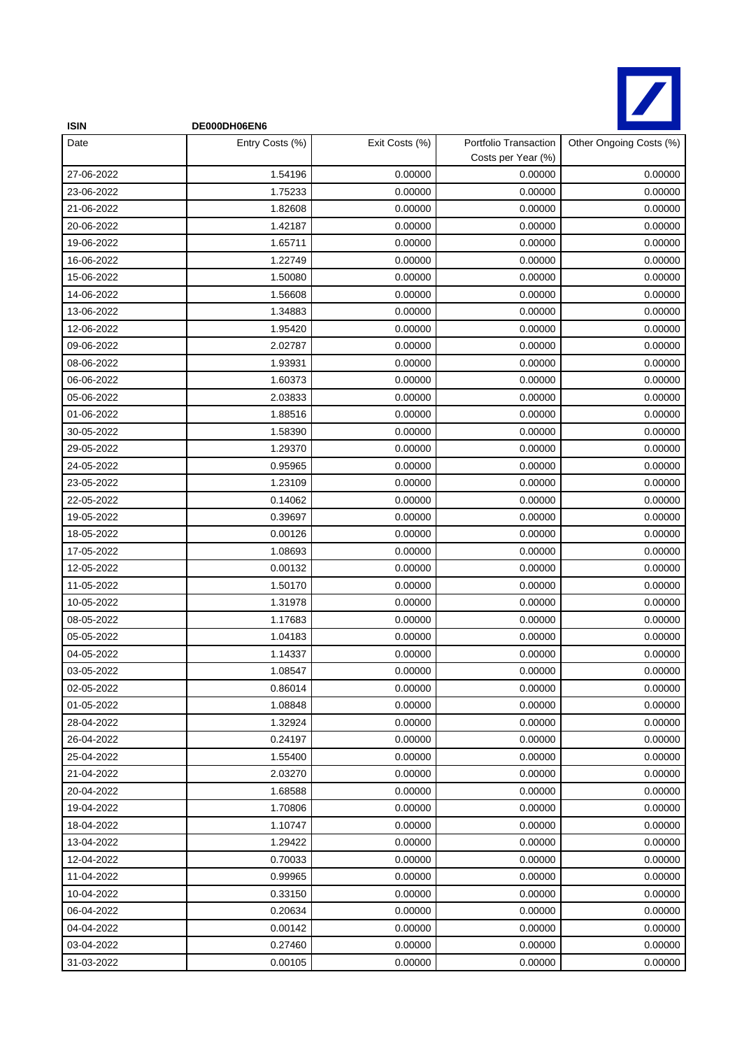

| <b>ISIN</b> | DE000DH06EN6    |                |                                             |                         |
|-------------|-----------------|----------------|---------------------------------------------|-------------------------|
| Date        | Entry Costs (%) | Exit Costs (%) | Portfolio Transaction<br>Costs per Year (%) | Other Ongoing Costs (%) |
| 27-06-2022  | 1.54196         | 0.00000        | 0.00000                                     | 0.00000                 |
| 23-06-2022  | 1.75233         | 0.00000        | 0.00000                                     | 0.00000                 |
| 21-06-2022  | 1.82608         | 0.00000        | 0.00000                                     | 0.00000                 |
| 20-06-2022  | 1.42187         | 0.00000        | 0.00000                                     | 0.00000                 |
| 19-06-2022  | 1.65711         | 0.00000        | 0.00000                                     | 0.00000                 |
| 16-06-2022  | 1.22749         | 0.00000        | 0.00000                                     | 0.00000                 |
| 15-06-2022  | 1.50080         | 0.00000        | 0.00000                                     | 0.00000                 |
| 14-06-2022  | 1.56608         | 0.00000        | 0.00000                                     | 0.00000                 |
| 13-06-2022  | 1.34883         | 0.00000        | 0.00000                                     | 0.00000                 |
| 12-06-2022  | 1.95420         | 0.00000        | 0.00000                                     | 0.00000                 |
| 09-06-2022  | 2.02787         | 0.00000        | 0.00000                                     | 0.00000                 |
| 08-06-2022  | 1.93931         | 0.00000        | 0.00000                                     | 0.00000                 |
| 06-06-2022  | 1.60373         | 0.00000        | 0.00000                                     | 0.00000                 |
| 05-06-2022  | 2.03833         | 0.00000        | 0.00000                                     | 0.00000                 |
| 01-06-2022  | 1.88516         | 0.00000        | 0.00000                                     | 0.00000                 |
| 30-05-2022  | 1.58390         | 0.00000        | 0.00000                                     | 0.00000                 |
| 29-05-2022  | 1.29370         | 0.00000        | 0.00000                                     | 0.00000                 |
| 24-05-2022  | 0.95965         | 0.00000        | 0.00000                                     | 0.00000                 |
| 23-05-2022  | 1.23109         | 0.00000        | 0.00000                                     | 0.00000                 |
| 22-05-2022  | 0.14062         | 0.00000        | 0.00000                                     | 0.00000                 |
| 19-05-2022  | 0.39697         | 0.00000        | 0.00000                                     | 0.00000                 |
| 18-05-2022  | 0.00126         | 0.00000        | 0.00000                                     | 0.00000                 |
| 17-05-2022  | 1.08693         | 0.00000        | 0.00000                                     | 0.00000                 |
| 12-05-2022  | 0.00132         | 0.00000        | 0.00000                                     | 0.00000                 |
| 11-05-2022  | 1.50170         | 0.00000        | 0.00000                                     | 0.00000                 |
| 10-05-2022  | 1.31978         | 0.00000        | 0.00000                                     | 0.00000                 |
| 08-05-2022  | 1.17683         | 0.00000        | 0.00000                                     | 0.00000                 |
| 05-05-2022  | 1.04183         | 0.00000        | 0.00000                                     | 0.00000                 |
| 04-05-2022  | 1.14337         | 0.00000        | 0.00000                                     | 0.00000                 |
| 03-05-2022  | 1.08547         | 0.00000        | 0.00000                                     | 0.00000                 |
| 02-05-2022  | 0.86014         | 0.00000        | 0.00000                                     | 0.00000                 |
| 01-05-2022  | 1.08848         | 0.00000        | 0.00000                                     | 0.00000                 |
| 28-04-2022  | 1.32924         | 0.00000        | 0.00000                                     | 0.00000                 |
| 26-04-2022  | 0.24197         | 0.00000        | 0.00000                                     | 0.00000                 |
| 25-04-2022  | 1.55400         | 0.00000        | 0.00000                                     | 0.00000                 |
| 21-04-2022  | 2.03270         | 0.00000        | 0.00000                                     | 0.00000                 |
| 20-04-2022  | 1.68588         | 0.00000        | 0.00000                                     | 0.00000                 |
| 19-04-2022  | 1.70806         | 0.00000        | 0.00000                                     | 0.00000                 |
| 18-04-2022  | 1.10747         | 0.00000        | 0.00000                                     | 0.00000                 |
| 13-04-2022  | 1.29422         | 0.00000        | 0.00000                                     | 0.00000                 |
| 12-04-2022  | 0.70033         | 0.00000        | 0.00000                                     | 0.00000                 |
| 11-04-2022  | 0.99965         | 0.00000        | 0.00000                                     | 0.00000                 |
| 10-04-2022  | 0.33150         | 0.00000        | 0.00000                                     | 0.00000                 |
| 06-04-2022  | 0.20634         | 0.00000        | 0.00000                                     | 0.00000                 |
| 04-04-2022  | 0.00142         | 0.00000        | 0.00000                                     | 0.00000                 |
| 03-04-2022  | 0.27460         | 0.00000        | 0.00000                                     | 0.00000                 |
| 31-03-2022  | 0.00105         | 0.00000        | 0.00000                                     | 0.00000                 |